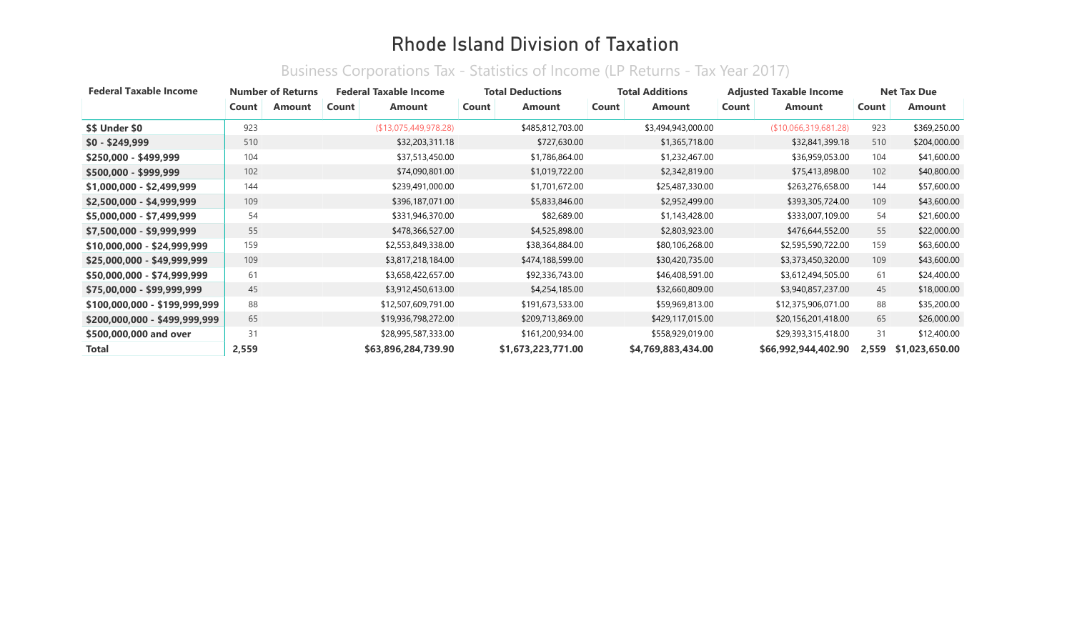| <b>Federal Taxable Income</b> | <b>Number of Returns</b> |        | <b>Federal Taxable Income</b> |                       | <b>Total Deductions</b> | <b>Total Additions</b> | <b>Adjusted Taxable Income</b> | <b>Net Tax Due</b> |                |  |
|-------------------------------|--------------------------|--------|-------------------------------|-----------------------|-------------------------|------------------------|--------------------------------|--------------------|----------------|--|
|                               | Count                    | Amount | Count                         | Amount                | Count<br><b>Amount</b>  | Count<br>Amount        | Count<br>Amount                | Count              | <b>Amount</b>  |  |
| \$\$ Under \$0                | 923                      |        |                               | (\$13,075,449,978.28) | \$485,812,703.00        | \$3,494,943,000.00     | (\$10,066,319,681.28)          | 923                | \$369,250.00   |  |
| $$0 - $249,999$               | 510                      |        |                               | \$32,203,311.18       | \$727,630.00            | \$1,365,718.00         | \$32,841,399.18                | 510                | \$204,000.00   |  |
| $$250,000 - $499,999$         | 104                      |        |                               | \$37,513,450.00       | \$1,786,864.00          | \$1,232,467.00         | \$36,959,053.00                | 104                | \$41,600.00    |  |
| \$500,000 - \$999,999         | 102                      |        |                               | \$74,090,801.00       | \$1,019,722.00          | \$2,342,819.00         | \$75,413,898.00                | 102                | \$40,800.00    |  |
| $$1,000,000 - $2,499,999$     | 144                      |        |                               | \$239,491,000.00      | \$1,701,672.00          | \$25,487,330.00        | \$263,276,658.00               | 144                | \$57,600.00    |  |
| \$2,500,000 - \$4,999,999     | 109                      |        |                               | \$396,187,071.00      | \$5,833,846.00          | \$2,952,499.00         | \$393,305,724.00               | 109                | \$43,600.00    |  |
| $$5,000,000 - $7,499,999$     | 54                       |        |                               | \$331,946,370.00      | \$82,689.00             | \$1,143,428.00         | \$333,007,109.00               | 54                 | \$21,600.00    |  |
| \$7,500,000 - \$9,999,999     | 55                       |        |                               | \$478,366,527.00      | \$4,525,898.00          | \$2,803,923.00         | \$476,644,552.00               | 55                 | \$22,000.00    |  |
| \$10,000,000 - \$24,999,999   | 159                      |        |                               | \$2,553,849,338.00    | \$38,364,884.00         | \$80,106,268.00        | \$2,595,590,722.00             | 159                | \$63,600.00    |  |
| \$25,000,000 - \$49,999,999   | 109                      |        |                               | \$3,817,218,184.00    | \$474,188,599.00        | \$30,420,735.00        | \$3,373,450,320.00             | 109                | \$43,600.00    |  |
| \$50,000,000 - \$74,999,999   | 61                       |        |                               | \$3,658,422,657.00    | \$92,336,743.00         | \$46,408,591.00        | \$3,612,494,505.00             | 61                 | \$24,400.00    |  |
| \$75,00,000 - \$99,999,999    | 45                       |        |                               | \$3,912,450,613.00    | \$4,254,185.00          | \$32,660,809.00        | \$3,940,857,237.00             | 45                 | \$18,000.00    |  |
| \$100,000,000 - \$199,999,999 | 88                       |        |                               | \$12,507,609,791.00   | \$191,673,533.00        | \$59,969,813.00        | \$12,375,906,071.00            | 88                 | \$35,200.00    |  |
| \$200,000,000 - \$499,999,999 | 65                       |        |                               | \$19,936,798,272.00   | \$209,713,869.00        | \$429,117,015.00       | \$20,156,201,418.00            | 65                 | \$26,000.00    |  |
| \$500,000,000 and over        | 31                       |        |                               | \$28,995,587,333.00   | \$161,200,934.00        | \$558,929,019.00       | \$29,393,315,418.00            | 31                 | \$12,400.00    |  |
| Total                         | 2,559                    |        |                               | \$63,896,284,739.90   | \$1,673,223,771.00      | \$4,769,883,434.00     | \$66,992,944,402.90            | 2,559              | \$1,023,650.00 |  |

#### Business Corporations Tax - Statistics of Income (LP Returns - Tax Year 2017)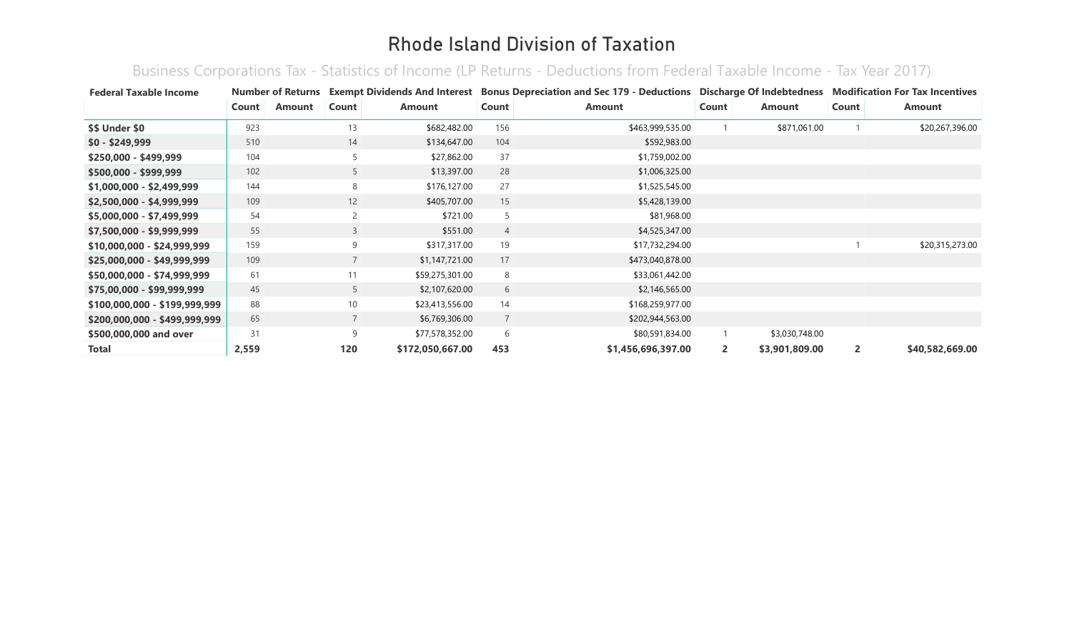Business Corporations Tax - Statistics of Income (LP Returns - Deductions from Federal Taxable Income - Tax Year 2017)

| <b>Federal Taxable Income</b> | <b>Number of Returns</b> |               |                |                  |                | Exempt Dividends And Interest Bonus Depreciation and Sec 179 - Deductions Discharge Of Indebtedness |              |                | <b>Modification For Tax Incentives</b> |                 |  |
|-------------------------------|--------------------------|---------------|----------------|------------------|----------------|-----------------------------------------------------------------------------------------------------|--------------|----------------|----------------------------------------|-----------------|--|
|                               | Count                    | <b>Amount</b> | Count          | <b>Amount</b>    | Count          | <b>Amount</b>                                                                                       | Count        | Amount         | Count                                  | Amount          |  |
| \$\$ Under \$0                | 923                      |               | 13             | \$682,482.00     | 156            | \$463,999,535.00                                                                                    |              | \$871,061.00   |                                        | \$20,267,396.00 |  |
| $$0 - $249,999$               | 510                      |               | 14             | \$134,647.00     | 104            | \$592,983.00                                                                                        |              |                |                                        |                 |  |
| $$250,000 - $499,999$         | 104                      |               | 5              | \$27,862.00      | 37             | \$1,759,002.00                                                                                      |              |                |                                        |                 |  |
| $$500,000 - $999,999$         | 102                      |               | 5              | \$13,397.00      | 28             | \$1,006,325.00                                                                                      |              |                |                                        |                 |  |
| \$1,000,000 - \$2,499,999     | 144                      |               | 8              | \$176,127.00     | 27             | \$1,525,545.00                                                                                      |              |                |                                        |                 |  |
| \$2,500,000 - \$4,999,999     | 109                      |               | 12             | \$405,707.00     | 15             | \$5,428,139.00                                                                                      |              |                |                                        |                 |  |
| \$5,000,000 - \$7,499,999     | 54                       |               | $\overline{c}$ | \$721.00         | 5              | \$81,968.00                                                                                         |              |                |                                        |                 |  |
| \$7,500,000 - \$9,999,999     | 55                       |               | $\overline{3}$ | \$551.00         | $\overline{4}$ | \$4,525,347.00                                                                                      |              |                |                                        |                 |  |
| $$10,000,000 - $24,999,999$   | 159                      |               | 9              | \$317,317.00     | 19             | \$17,732,294.00                                                                                     |              |                |                                        | \$20,315,273.00 |  |
| \$25,000,000 - \$49,999,999   | 109                      |               | $\overline{7}$ | \$1,147,721.00   | 17             | \$473,040,878.00                                                                                    |              |                |                                        |                 |  |
| \$50,000,000 - \$74,999,999   | 61                       |               | 11             | \$59,275,301.00  | 8              | \$33,061,442.00                                                                                     |              |                |                                        |                 |  |
| \$75,00,000 - \$99,999,999    | 45                       |               | 5              | \$2,107,620.00   | 6              | \$2,146,565.00                                                                                      |              |                |                                        |                 |  |
| \$100,000,000 - \$199,999,999 | 88                       |               | 10             | \$23,413,556.00  | 14             | \$168,259,977.00                                                                                    |              |                |                                        |                 |  |
| \$200,000,000 - \$499,999,999 | 65                       |               | $\overline{7}$ | \$6,769,306.00   | $\overline{7}$ | \$202,944,563.00                                                                                    |              |                |                                        |                 |  |
| \$500,000,000 and over        | 31                       |               | 9              | \$77,578,352.00  | 6              | \$80,591,834.00                                                                                     |              | \$3,030,748.00 |                                        |                 |  |
| Total                         | 2,559                    |               | 120            | \$172,050,667.00 | 453            | \$1,456,696,397.00                                                                                  | $\mathbf{2}$ | \$3,901,809.00 | $\mathbf{2}$                           | \$40,582,669.00 |  |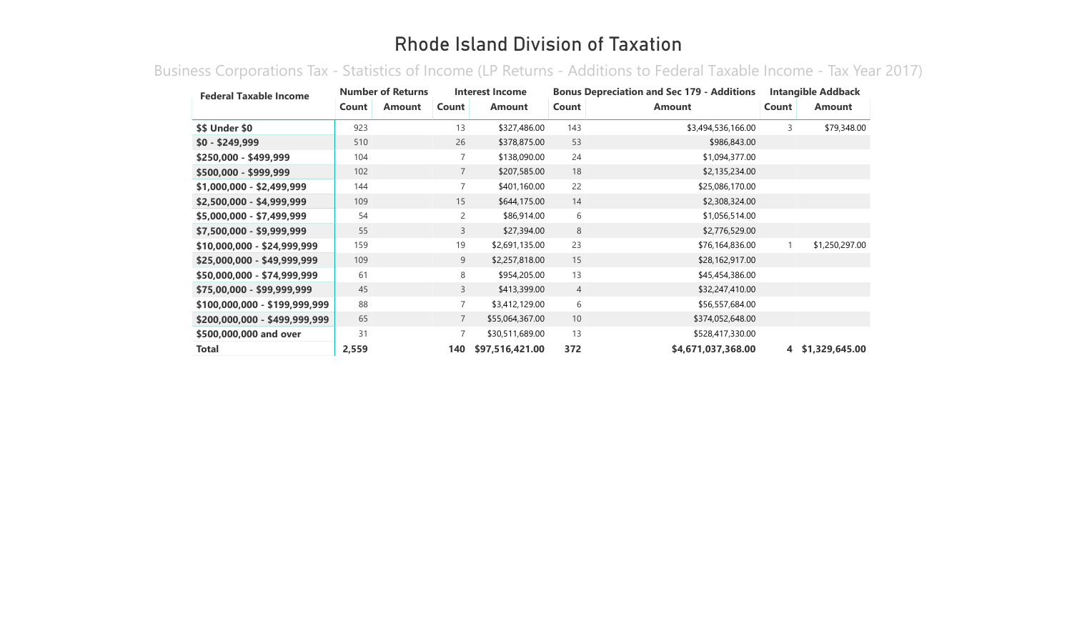Business Corporations Tax - Statistics of Income (LP Returns - Additions to Federal Taxable Income - Tax Year 2017)

| <b>Federal Taxable Income</b> | <b>Number of Returns</b> |               | Interest Income |                 | <b>Bonus Depreciation and Sec 179 - Additions</b> |                    | <b>Intangible Addback</b> |                |
|-------------------------------|--------------------------|---------------|-----------------|-----------------|---------------------------------------------------|--------------------|---------------------------|----------------|
|                               | Count                    | <b>Amount</b> | Count           | <b>Amount</b>   | Count                                             | <b>Amount</b>      | Count                     | <b>Amount</b>  |
| \$\$ Under \$0                | 923                      |               | 13              | \$327,486.00    | 143                                               | \$3,494,536,166.00 | 3                         | \$79,348.00    |
| $$0 - $249,999$               | 510                      |               | 26              | \$378,875.00    | 53                                                | \$986,843.00       |                           |                |
| \$250,000 - \$499,999         | 104                      |               | $\overline{7}$  | \$138,090.00    | 24                                                | \$1,094,377.00     |                           |                |
| \$500,000 - \$999,999         | 102                      |               | $\overline{7}$  | \$207,585.00    | 18                                                | \$2,135,234.00     |                           |                |
| \$1,000,000 - \$2,499,999     | 144                      |               | $\overline{7}$  | \$401,160.00    | 22                                                | \$25,086,170.00    |                           |                |
| \$2,500,000 - \$4,999,999     | 109                      |               | 15              | \$644,175.00    | 14                                                | \$2,308,324.00     |                           |                |
| \$5,000,000 - \$7,499,999     | 54                       |               | $\overline{2}$  | \$86,914.00     | 6                                                 | \$1,056,514.00     |                           |                |
| \$7,500,000 - \$9,999,999     | 55                       |               | $\overline{3}$  | \$27,394.00     | 8                                                 | \$2,776,529.00     |                           |                |
| \$10,000,000 - \$24,999,999   | 159                      |               | 19              | \$2,691,135.00  | 23                                                | \$76,164,836.00    |                           | \$1,250,297.00 |
| \$25,000,000 - \$49,999,999   | 109                      |               | 9               | \$2,257,818.00  | 15                                                | \$28,162,917.00    |                           |                |
| \$50,000,000 - \$74,999,999   | 61                       |               | 8               | \$954,205.00    | 13                                                | \$45,454,386.00    |                           |                |
| \$75,00,000 - \$99,999,999    | 45                       |               | $\mathsf{3}$    | \$413,399.00    | $\overline{4}$                                    | \$32,247,410.00    |                           |                |
| \$100,000,000 - \$199,999,999 | 88                       |               | $\overline{7}$  | \$3,412,129.00  | 6                                                 | \$56,557,684.00    |                           |                |
| \$200,000,000 - \$499,999,999 | 65                       |               | $7^{\circ}$     | \$55,064,367.00 | 10                                                | \$374,052,648.00   |                           |                |
| \$500,000,000 and over        | 31                       |               | $\overline{7}$  | \$30,511,689.00 | 13                                                | \$528,417,330.00   |                           |                |
| Total                         | 2,559                    |               | 140             | \$97,516,421.00 | 372                                               | \$4,671,037,368.00 | 4                         | \$1,329,645.00 |